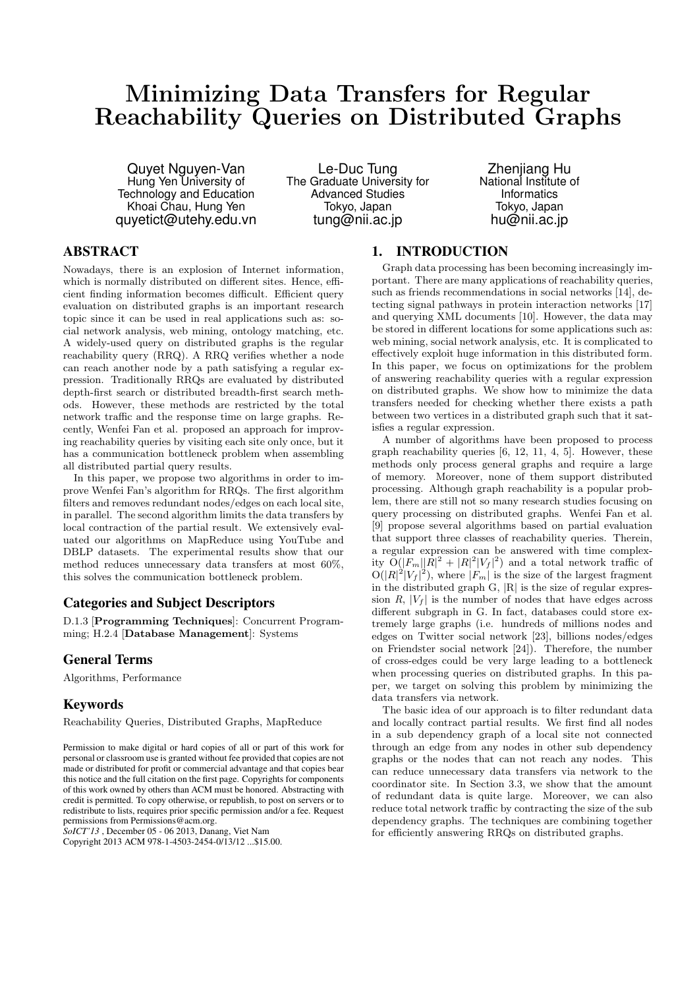# Minimizing Data Transfers for Regular Reachability Queries on Distributed Graphs

Quyet Nguyen-Van Hung Yen University of Technology and Education Khoai Chau, Hung Yen quyetict@utehy.edu.vn

Le-Duc Tung The Graduate University for Advanced Studies Tokyo, Japan tung@nii.ac.jp

Zhenjiang Hu National Institute of Informatics Tokyo, Japan hu@nii.ac.jp

# ABSTRACT

Nowadays, there is an explosion of Internet information, which is normally distributed on different sites. Hence, efficient finding information becomes difficult. Efficient query evaluation on distributed graphs is an important research topic since it can be used in real applications such as: social network analysis, web mining, ontology matching, etc. A widely-used query on distributed graphs is the regular reachability query (RRQ). A RRQ verifies whether a node can reach another node by a path satisfying a regular expression. Traditionally RRQs are evaluated by distributed depth-first search or distributed breadth-first search methods. However, these methods are restricted by the total network traffic and the response time on large graphs. Recently, Wenfei Fan et al. proposed an approach for improving reachability queries by visiting each site only once, but it has a communication bottleneck problem when assembling all distributed partial query results.

In this paper, we propose two algorithms in order to improve Wenfei Fan's algorithm for RRQs. The first algorithm filters and removes redundant nodes/edges on each local site, in parallel. The second algorithm limits the data transfers by local contraction of the partial result. We extensively evaluated our algorithms on MapReduce using YouTube and DBLP datasets. The experimental results show that our method reduces unnecessary data transfers at most 60%, this solves the communication bottleneck problem.

## Categories and Subject Descriptors

D.1.3 [Programming Techniques]: Concurrent Programming; H.2.4 [Database Management]: Systems

#### General Terms

Algorithms, Performance

## Keywords

Reachability Queries, Distributed Graphs, MapReduce

Permission to make digital or hard copies of all or part of this work for personal or classroom use is granted without fee provided that copies are not made or distributed for profit or commercial advantage and that copies bear this notice and the full citation on the first page. Copyrights for components of this work owned by others than ACM must be honored. Abstracting with credit is permitted. To copy otherwise, or republish, to post on servers or to redistribute to lists, requires prior specific permission and/or a fee. Request permissions from Permissions@acm.org.

*SoICT'13* , December 05 - 06 2013, Danang, Viet Nam

Copyright 2013 ACM 978-1-4503-2454-0/13/12 ...\$15.00.

# 1. INTRODUCTION

Graph data processing has been becoming increasingly important. There are many applications of reachability queries, such as friends recommendations in social networks [14], detecting signal pathways in protein interaction networks [17] and querying XML documents [10]. However, the data may be stored in different locations for some applications such as: web mining, social network analysis, etc. It is complicated to effectively exploit huge information in this distributed form. In this paper, we focus on optimizations for the problem of answering reachability queries with a regular expression on distributed graphs. We show how to minimize the data transfers needed for checking whether there exists a path between two vertices in a distributed graph such that it satisfies a regular expression.

A number of algorithms have been proposed to process graph reachability queries [6, 12, 11, 4, 5]. However, these methods only process general graphs and require a large of memory. Moreover, none of them support distributed processing. Although graph reachability is a popular problem, there are still not so many research studies focusing on query processing on distributed graphs. Wenfei Fan et al. [9] propose several algorithms based on partial evaluation that support three classes of reachability queries. Therein, a regular expression can be answered with time complexity  $O(|F_m||R|^2 + |R|^2|V_f|^2)$  and a total network traffic of  $O(|R|^2|V_f|^2)$ , where  $|F_m|$  is the size of the largest fragment in the distributed graph  $G$ ,  $|R|$  is the size of regular expression  $R$ ,  $|V_f|$  is the number of nodes that have edges across different subgraph in G. In fact, databases could store extremely large graphs (i.e. hundreds of millions nodes and edges on Twitter social network [23], billions nodes/edges on Friendster social network [24]). Therefore, the number of cross-edges could be very large leading to a bottleneck when processing queries on distributed graphs. In this paper, we target on solving this problem by minimizing the data transfers via network.

The basic idea of our approach is to filter redundant data and locally contract partial results. We first find all nodes in a sub dependency graph of a local site not connected through an edge from any nodes in other sub dependency graphs or the nodes that can not reach any nodes. This can reduce unnecessary data transfers via network to the coordinator site. In Section 3.3, we show that the amount of redundant data is quite large. Moreover, we can also reduce total network traffic by contracting the size of the sub dependency graphs. The techniques are combining together for efficiently answering RRQs on distributed graphs.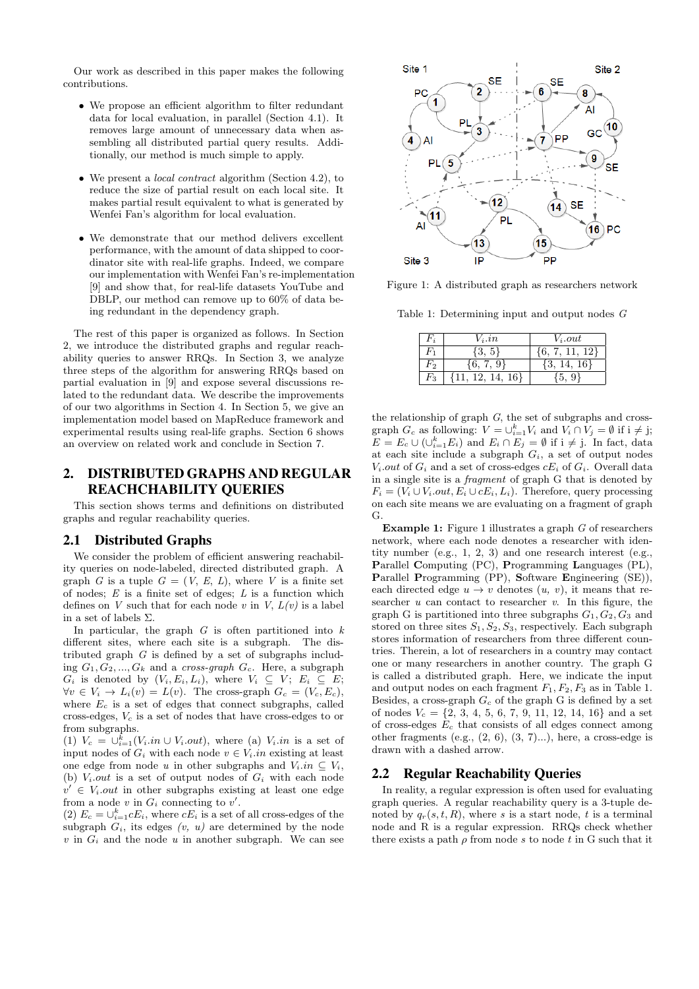Our work as described in this paper makes the following contributions.

- We propose an efficient algorithm to filter redundant data for local evaluation, in parallel (Section 4.1). It removes large amount of unnecessary data when assembling all distributed partial query results. Additionally, our method is much simple to apply.
- We present a local contract algorithm (Section 4.2), to reduce the size of partial result on each local site. It makes partial result equivalent to what is generated by Wenfei Fan's algorithm for local evaluation.
- We demonstrate that our method delivers excellent performance, with the amount of data shipped to coordinator site with real-life graphs. Indeed, we compare our implementation with Wenfei Fan's re-implementation [9] and show that, for real-life datasets YouTube and DBLP, our method can remove up to 60% of data being redundant in the dependency graph.

The rest of this paper is organized as follows. In Section 2, we introduce the distributed graphs and regular reachability queries to answer RRQs. In Section 3, we analyze three steps of the algorithm for answering RRQs based on partial evaluation in [9] and expose several discussions related to the redundant data. We describe the improvements of our two algorithms in Section 4. In Section 5, we give an implementation model based on MapReduce framework and experimental results using real-life graphs. Section 6 shows an overview on related work and conclude in Section 7.

# 2. DISTRIBUTED GRAPHS AND REGULAR REACHCHABILITY QUERIES

This section shows terms and definitions on distributed graphs and regular reachability queries.

#### 2.1 Distributed Graphs

We consider the problem of efficient answering reachability queries on node-labeled, directed distributed graph. A graph G is a tuple  $G = (V, E, L)$ , where V is a finite set of nodes;  $E$  is a finite set of edges;  $L$  is a function which defines on V such that for each node v in V,  $L(v)$  is a label in a set of labels  $\Sigma$ .

In particular, the graph  $G$  is often partitioned into  $k$ different sites, where each site is a subgraph. The distributed graph G is defined by a set of subgraphs including  $G_1, G_2, ..., G_k$  and a cross-graph  $G_c$ . Here, a subgraph  $G_i$  is denoted by  $(V_i, E_i, L_i)$ , where  $V_i \subseteq V$ ;  $E_i \subseteq E$ ;  $\forall v \in V_i \rightarrow L_i(v) = L(v)$ . The cross-graph  $G_c = (V_c, E_c)$ , where  $E_c$  is a set of edges that connect subgraphs, called cross-edges,  $V_c$  is a set of nodes that have cross-edges to or from subgraphs.

(1)  $V_c = \bigcup_{i=1}^k (V_i.in \cup V_i.out),$  where (a)  $V_i.in$  is a set of input nodes of  $G_i$  with each node  $v \in V_i$ .in existing at least one edge from node u in other subgraphs and  $V_i.in \subseteq V_i$ , (b)  $V_i.out$  is a set of output nodes of  $G_i$  with each node  $v' \in V_i.out$  in other subgraphs existing at least one edge from a node v in  $G_i$  connecting to  $v'$ .

(2)  $E_c = \bigcup_{i=1}^k cE_i$ , where  $cE_i$  is a set of all cross-edges of the subgraph  $G_i$ , its edges  $(v, u)$  are determined by the node  $v$  in  $G_i$  and the node u in another subgraph. We can see



Figure 1: A distributed graph as researchers network

Table 1: Determining input and output nodes G

| $F_i$              | $V_i.in$      | $V_{i}.out$        |
|--------------------|---------------|--------------------|
|                    | {3,5}         | $\{6, 7, 11, 12\}$ |
| $F_2$              | $\{6, 7, 9\}$ | $\{3, 14, 16\}$    |
| $\scriptstyle F_3$ | 12, 14, 16    | {5,9}              |

the relationship of graph  $G$ , the set of subgraphs and crossgraph  $G_c$  as following:  $V = \bigcup_{i=1}^k V_i$  and  $V_i \cap V_j = \emptyset$  if  $i \neq j$ ;  $E = E_c \cup (\cup_{i=1}^k E_i)$  and  $E_i \cap E_j = \emptyset$  if  $i \neq j$ . In fact, data at each site include a subgraph  $G_i$ , a set of output nodes  $V_i.out$  of  $G_i$  and a set of cross-edges  $cE_i$  of  $G_i$ . Overall data in a single site is a fragment of graph G that is denoted by  $F_i = (V_i \cup V_i.out, E_i \cup cE_i, L_i)$ . Therefore, query processing on each site means we are evaluating on a fragment of graph G.

Example 1: Figure 1 illustrates a graph G of researchers network, where each node denotes a researcher with identity number (e.g., 1, 2, 3) and one research interest (e.g., Parallel Computing (PC), Programming Languages (PL), Parallel Programming (PP), Software Engineering (SE)), each directed edge  $u \to v$  denotes  $(u, v)$ , it means that researcher  $u$  can contact to researcher  $v$ . In this figure, the graph G is partitioned into three subgraphs  $G_1, G_2, G_3$  and stored on three sites  $S_1, S_2, S_3$ , respectively. Each subgraph stores information of researchers from three different countries. Therein, a lot of researchers in a country may contact one or many researchers in another country. The graph G is called a distributed graph. Here, we indicate the input and output nodes on each fragment  $F_1, F_2, F_3$  as in Table 1. Besides, a cross-graph  $G_c$  of the graph G is defined by a set of nodes  $V_c = \{2, 3, 4, 5, 6, 7, 9, 11, 12, 14, 16\}$  and a set of cross-edges  $E_c$  that consists of all edges connect among other fragments (e.g.,  $(2, 6)$ ,  $(3, 7)$ ...), here, a cross-edge is drawn with a dashed arrow.

## 2.2 Regular Reachability Queries

In reality, a regular expression is often used for evaluating graph queries. A regular reachability query is a 3-tuple denoted by  $q_r(s, t, R)$ , where s is a start node, t is a terminal node and R is a regular expression. RRQs check whether there exists a path  $\rho$  from node s to node t in G such that it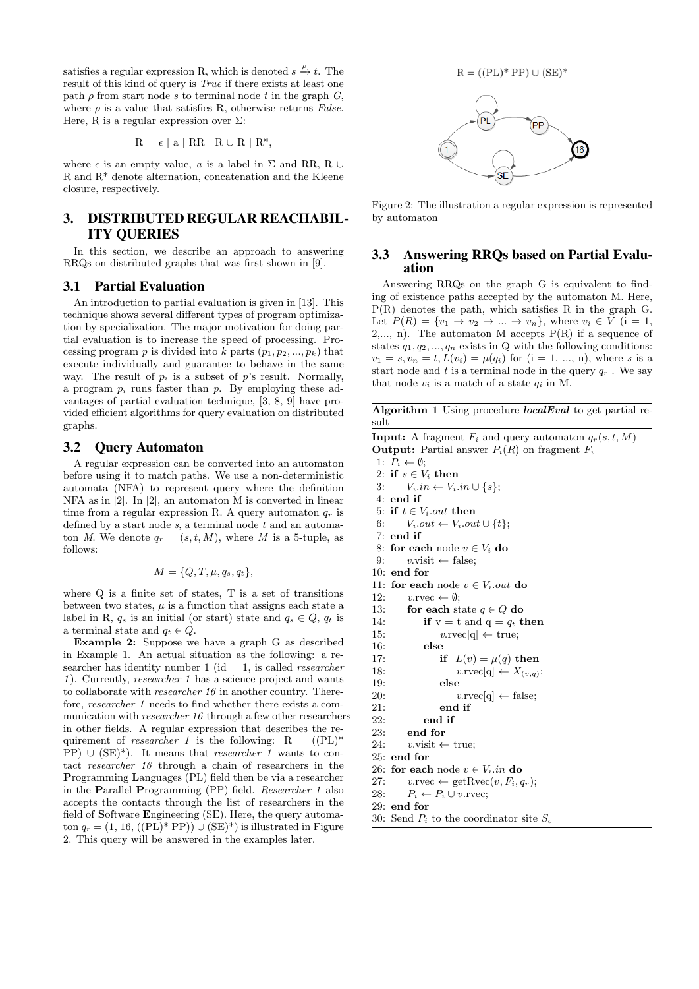satisfies a regular expression R, which is denoted  $s \stackrel{\rho}{\to} t$ . The result of this kind of query is True if there exists at least one path  $\rho$  from start node s to terminal node t in the graph G, where  $\rho$  is a value that satisfies R, otherwise returns False. Here, R is a regular expression over  $\Sigma$ :

$$
R = \epsilon |a| RR | R \cup R | R^*,
$$

where  $\epsilon$  is an empty value, a is a label in  $\Sigma$  and RR, R ∪ R and R\* denote alternation, concatenation and the Kleene closure, respectively.

# 3. DISTRIBUTED REGULAR REACHABIL-ITY QUERIES

In this section, we describe an approach to answering RRQs on distributed graphs that was first shown in [9].

#### 3.1 Partial Evaluation

An introduction to partial evaluation is given in [13]. This technique shows several different types of program optimization by specialization. The major motivation for doing partial evaluation is to increase the speed of processing. Processing program p is divided into k parts  $(p_1, p_2, ..., p_k)$  that execute individually and guarantee to behave in the same way. The result of  $p_i$  is a subset of p's result. Normally, a program  $p_i$  runs faster than  $p$ . By employing these advantages of partial evaluation technique, [3, 8, 9] have provided efficient algorithms for query evaluation on distributed graphs.

## 3.2 Query Automaton

A regular expression can be converted into an automaton before using it to match paths. We use a non-deterministic automata (NFA) to represent query where the definition NFA as in [2]. In [2], an automaton M is converted in linear time from a regular expression R. A query automaton  $q_r$  is defined by a start node  $s$ , a terminal node  $t$  and an automaton M. We denote  $q_r = (s, t, M)$ , where M is a 5-tuple, as follows:

$$
M = \{Q, T, \mu, q_s, q_t\},\
$$

where Q is a finite set of states, T is a set of transitions between two states,  $\mu$  is a function that assigns each state a label in R,  $q_s$  is an initial (or start) state and  $q_s \in Q$ ,  $q_t$  is a terminal state and  $q_t \in Q$ .

Example 2: Suppose we have a graph G as described in Example 1. An actual situation as the following: a researcher has identity number 1 (id  $= 1$ , is called *researcher* 1 ). Currently, researcher 1 has a science project and wants to collaborate with researcher 16 in another country. Therefore, researcher 1 needs to find whether there exists a communication with researcher 16 through a few other researchers in other fields. A regular expression that describes the requirement of researcher 1 is the following:  $R = (PL)^*$ PP)  $\cup$  (SE)<sup>\*</sup>). It means that *researcher 1* wants to contact researcher 16 through a chain of researchers in the Programming Languages (PL) field then be via a researcher in the Parallel Programming (PP) field. Researcher 1 also accepts the contacts through the list of researchers in the field of Software Engineering (SE). Here, the query automaton  $q_r = (1, 16, ((PL)^* PP)) \cup (SE)^*)$  is illustrated in Figure 2. This query will be answered in the examples later.

 $R = ((PL)^* PP) \cup (SE)^*$ 



Figure 2: The illustration a regular expression is represented by automaton

# 3.3 Answering RRQs based on Partial Evaluation

Answering RRQs on the graph G is equivalent to finding of existence paths accepted by the automaton M. Here, P(R) denotes the path, which satisfies R in the graph G. Let  $P(R) = \{v_1 \rightarrow v_2 \rightarrow \dots \rightarrow v_n\}$ , where  $v_i \in V$  (i = 1, 2,..., n). The automaton M accepts  $P(R)$  if a sequence of states  $q_1, q_2, \ldots, q_n$  exists in Q with the following conditions:  $v_1 = s, v_n = t, L(v_i) = \mu(q_i)$  for  $(i = 1, ..., n)$ , where s is a start node and t is a terminal node in the query  $q_r$ . We say that node  $v_i$  is a match of a state  $q_i$  in M.

Algorithm 1 Using procedure *localEval* to get partial result

**Input:** A fragment  $F_i$  and query automaton  $q_r(s, t, M)$ **Output:** Partial answer  $P_i(R)$  on fragment  $F_i$ 1:  $P_i \leftarrow \emptyset$ ; 2: if  $s \in V_i$  then 3:  $V_i.in \leftarrow V_i.in \cup \{s\};$ 4: end if 5: if  $t \in V_i.out$  then 6:  $V_i.out \leftarrow V_i.out \cup \{t\};$ 7: end if  $8:$  for ea for each node  $v \in V_i$  do 9:  $v.\text{visit} \leftarrow \text{false}$ : 10: end for 11: **for each** node  $v \in V_i$ .*out* **do** 12:  $v$ .rvec  $\leftarrow \emptyset$ :  $v.\text{rvec} \leftarrow \emptyset;$ 13: for each state  $q \in Q$  do 14: **if**  $v = t$  and  $q = q_t$  **then** 15:  $v.\text{rvec}[q] \leftarrow \text{true};$ 16: else 17: if  $L(v) = \mu(q)$  then 18:  $v.\text{rvec}[q] \leftarrow X_{(v,q)}$ ; 19: else 20:  $v.\text{rvec}[q] \leftarrow \text{false};$ 21: end if 22: end if 23: end for 24:  $v.\text{visit} \leftarrow \text{true};$ 25: end for 26: for each node  $v \in V_i.in$  do 27:  $v.\text{rvec} \leftarrow \text{getRvec}(v, F_i, q_r);$ 28:  $P_i \leftarrow P_i \cup v.\text{rvec};$ 29: end for

30: Send 
$$
P_i
$$
 to the coordinator site  $S_c$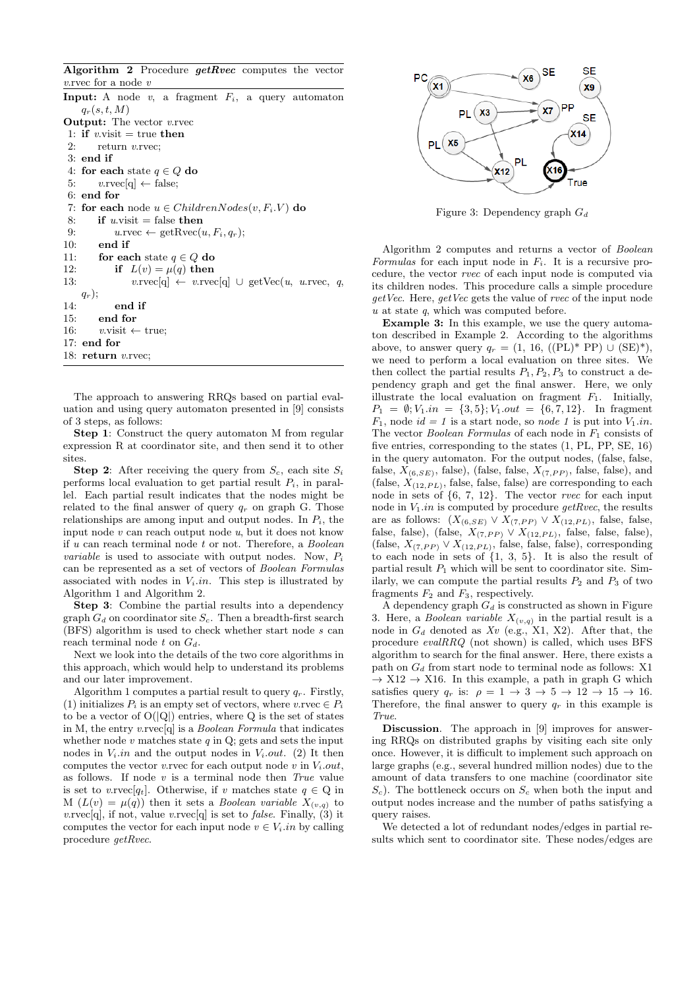Algorithm 2 Procedure getRvec computes the vector  $v$ .rvec for a node  $v$ **Input:** A node  $v$ , a fragment  $F_i$ , a query automaton  $q_r(s, t, M)$ **Output:** The vector v.rvec 1: if v.visit  $=$  true then 2: return v.rvec; 3: end if 4: for each state  $q \in Q$  do 5:  $v.\text{rvec}[q] \leftarrow \text{false};$ 6: end for 7: for each node  $u \in ChildrenNodes(v, F_i, V)$  do 8: if  $u.\text{visit} = \text{false}$  then 9:  $u.\text{rvec} \leftarrow \text{getRvec}(u, F_i, q_r);$ 10: end if 11: for each state  $q \in Q$  do 12: if  $L(v) = \mu(q)$  then 13:  $v.\text{rvec}[q] \leftarrow v.\text{rvec}[q] \cup \text{getVec}(u, u.\text{rvec}, q,$  $q_r$ ); 14: end if 15: end for 16:  $v.\text{visit} \leftarrow \text{true}$ : 17: end for 18: return v.rvec;

The approach to answering RRQs based on partial evaluation and using query automaton presented in [9] consists of 3 steps, as follows:

Step 1: Construct the query automaton M from regular expression R at coordinator site, and then send it to other sites.

**Step 2:** After receiving the query from  $S_c$ , each site  $S_i$ performs local evaluation to get partial result  $P_i$ , in parallel. Each partial result indicates that the nodes might be related to the final answer of query  $q_r$  on graph G. Those relationships are among input and output nodes. In  $P_i$ , the input node  $v$  can reach output node  $u$ , but it does not know if  $u$  can reach terminal node  $t$  or not. Therefore, a *Boolean variable* is used to associate with output nodes. Now,  $P_i$ can be represented as a set of vectors of Boolean Formulas associated with nodes in  $V_i.in.$  This step is illustrated by Algorithm 1 and Algorithm 2.

Step 3: Combine the partial results into a dependency graph  $G_d$  on coordinator site  $S_c$ . Then a breadth-first search (BFS) algorithm is used to check whether start node s can reach terminal node t on  $G_d$ .

Next we look into the details of the two core algorithms in this approach, which would help to understand its problems and our later improvement.

Algorithm 1 computes a partial result to query  $q_r$ . Firstly, (1) initializes  $P_i$  is an empty set of vectors, where  $v$  rvec  $\in P_i$ to be a vector of  $O(|Q|)$  entries, where Q is the set of states in M, the entry v.rvec[q] is a *Boolean Formula* that indicates whether node  $v$  matches state  $q$  in  $Q$ ; gets and sets the input nodes in  $V_i.in$  and the output nodes in  $V_i.out$ . (2) It then computes the vector v.rvec for each output node v in  $V_i.out$ , as follows. If node  $v$  is a terminal node then  $True$  value is set to v.rvec[q<sub>t</sub>]. Otherwise, if v matches state  $q \in \mathbb{Q}$  in M  $(L(v) = \mu(q))$  then it sets a *Boolean variable*  $X_{(v,q)}$  to  $v.\text{rvec}[q]$ , if not, value  $v.\text{rvec}[q]$  is set to *false*. Finally,  $(3)$  it computes the vector for each input node  $v \in V_i$  in by calling procedure getRvec.



Figure 3: Dependency graph  $G_d$ 

Algorithm 2 computes and returns a vector of Boolean Formulas for each input node in  $F_i$ . It is a recursive procedure, the vector rvec of each input node is computed via its children nodes. This procedure calls a simple procedure getVec. Here, getVec gets the value of rvec of the input node  $u$  at state  $q$ , which was computed before.

Example 3: In this example, we use the query automaton described in Example 2. According to the algorithms above, to answer query  $q_r = (1, 16, ((PL)^* PP) \cup (SE)^*),$ we need to perform a local evaluation on three sites. We then collect the partial results  $P_1, P_2, P_3$  to construct a dependency graph and get the final answer. Here, we only illustrate the local evaluation on fragment  $F_1$ . Initially,  $P_1 = \emptyset; V_1.in = \{3, 5\}; V_1.out = \{6, 7, 12\}.$  In fragment  $F_1$ , node  $id = 1$  is a start node, so node 1 is put into  $V_1.in$ . The vector *Boolean Formulas* of each node in  $F_1$  consists of five entries, corresponding to the states (1, PL, PP, SE, 16) in the query automaton. For the output nodes, (false, false, false,  $X_{(6,SE)}$ , false), (false, false,  $X_{(7,PP)}$ , false, false), and (false,  $X_{(12,PL)}$ , false, false, false) are corresponding to each node in sets of  $\{6, 7, 12\}$ . The vector *rvec* for each input node in  $V_1.in$  is computed by procedure getRvec, the results are as follows:  $(X_{(6,SE)} \vee X_{(7,PP)} \vee X_{(12,PL)},$  false, false, false, false), (false,  $X_{(7, PP)} \vee X_{(12, PL)}$ , false, false), (false,  $X_{(7,PP)} \vee X_{(12,PL)}$ , false, false, false), corresponding to each node in sets of  $\{1, 3, 5\}$ . It is also the result of partial result  $P_1$  which will be sent to coordinator site. Similarly, we can compute the partial results  $P_2$  and  $P_3$  of two fragments  $F_2$  and  $F_3$ , respectively.

A dependency graph  $G_d$  is constructed as shown in Figure 3. Here, a *Boolean variable*  $X_{(v,q)}$  in the partial result is a node in  $G_d$  denoted as Xv (e.g., X1, X2). After that, the procedure evalRRQ (not shown) is called, which uses BFS algorithm to search for the final answer. Here, there exists a path on  $G_d$  from start node to terminal node as follows: X1  $\rightarrow$  X12  $\rightarrow$  X16. In this example, a path in graph G which satisfies query  $q_r$  is:  $\rho = 1 \rightarrow 3 \rightarrow 5 \rightarrow 12 \rightarrow 15 \rightarrow 16$ . Therefore, the final answer to query  $q_r$  in this example is True.

Discussion. The approach in [9] improves for answering RRQs on distributed graphs by visiting each site only once. However, it is difficult to implement such approach on large graphs (e.g., several hundred million nodes) due to the amount of data transfers to one machine (coordinator site  $S_c$ ). The bottleneck occurs on  $S_c$  when both the input and output nodes increase and the number of paths satisfying a query raises.

We detected a lot of redundant nodes/edges in partial results which sent to coordinator site. These nodes/edges are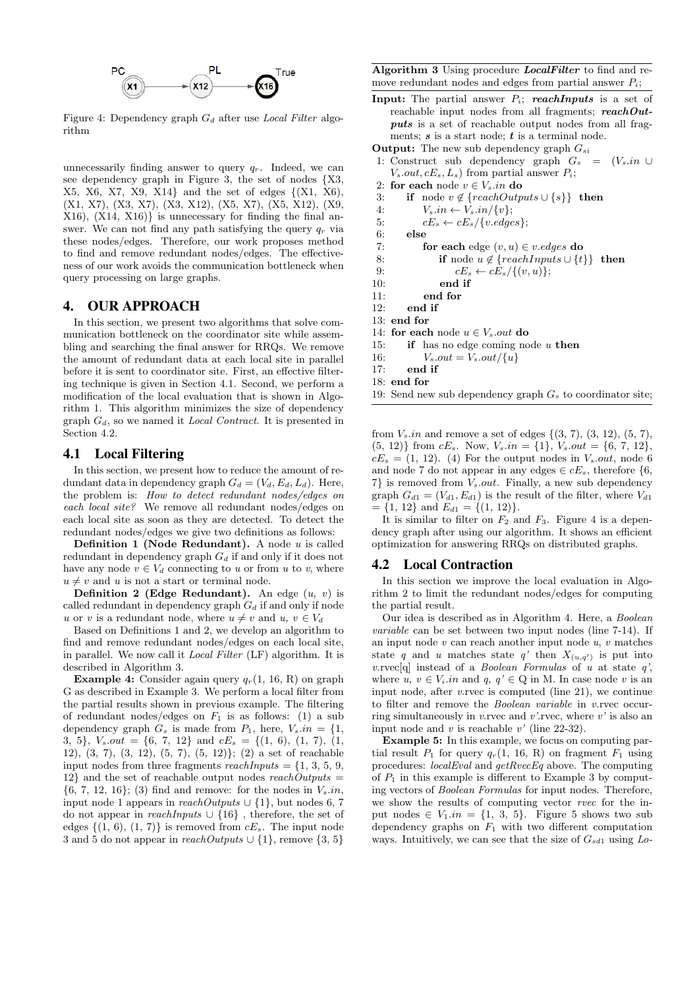

Figure 4: Dependency graph  $G_d$  after use *Local Filter* algorithm

unnecessarily finding answer to query  $q_r$ . Indeed, we can see dependency graph in Figure 3, the set of nodes {X3, X5, X6, X7, X9, X14} and the set of edges {(X1, X6), (X1, X7), (X3, X7), (X3, X12), (X5, X7), (X5, X12), (X9,  $X16$ ),  $(X14, X16)$  is unnecessary for finding the final answer. We can not find any path satisfying the query  $q_r$  via these nodes/edges. Therefore, our work proposes method to find and remove redundant nodes/edges. The effectiveness of our work avoids the communication bottleneck when query processing on large graphs.

#### 4. OUR APPROACH

In this section, we present two algorithms that solve communication bottleneck on the coordinator site while assembling and searching the final answer for RRQs. We remove the amount of redundant data at each local site in parallel before it is sent to coordinator site. First, an effective filtering technique is given in Section 4.1. Second, we perform a modification of the local evaluation that is shown in Algorithm 1. This algorithm minimizes the size of dependency graph  $G_d$ , so we named it *Local Contract*. It is presented in Section 4.2.

#### 4.1 Local Filtering

In this section, we present how to reduce the amount of redundant data in dependency graph  $G_d = (V_d, E_d, L_d)$ . Here, the problem is: How to detect redundant nodes/edges on each local site? We remove all redundant nodes/edges on each local site as soon as they are detected. To detect the redundant nodes/edges we give two definitions as follows:

**Definition 1** (Node Redundant). A node  $u$  is called redundant in dependency graph  $G_d$  if and only if it does not have any node  $v \in V_d$  connecting to u or from u to v, where  $u \neq v$  and u is not a start or terminal node.

**Definition 2 (Edge Redundant).** An edge  $(u, v)$  is called redundant in dependency graph  $G_d$  if and only if node u or v is a redundant node, where  $u \neq v$  and  $u, v \in V_d$ 

Based on Definitions 1 and 2, we develop an algorithm to find and remove redundant nodes/edges on each local site, in parallel. We now call it Local Filter (LF) algorithm. It is described in Algorithm 3.

**Example 4:** Consider again query  $q_r(1, 16, R)$  on graph G as described in Example 3. We perform a local filter from the partial results shown in previous example. The filtering of redundant nodes/edges on  $F_1$  is as follows: (1) a sub dependency graph  $G_s$  is made from  $P_1$ , here,  $V_s.in = \{1,$ 3, 5},  $V_s.out = \{6, 7, 12\}$  and  $cE_s = \{(1, 6), (1, 7), (1, 7)\}$ 12), (3, 7), (3, 12), (5, 7), (5, 12)}; (2) a set of reachable input nodes from three fragments  $reachInputs = \{1, 3, 5, 9,$ 12} and the set of reachable output nodes  $reachOutputs =$  $\{6, 7, 12, 16\};$  (3) find and remove: for the nodes in  $V_s.in$ , input node 1 appears in  $reachOutputs \cup \{1\}$ , but nodes 6, 7 do not appear in reachInputs ∪ {16} , therefore, the set of edges  $\{(1, 6), (1, 7)\}\$ is removed from  $cE_s$ . The input node 3 and 5 do not appear in reachOutputs  $\cup$  {1}, remove {3, 5}

Algorithm 3 Using procedure LocalFilter to find and remove redundant nodes and edges from partial answer  $P_i$ ;

- **Input:** The partial answer  $P_i$ ; reachInputs is a set of reachable input nodes from all fragments;  $reachOut$ puts is a set of reachable output nodes from all fragments;  $s$  is a start node;  $t$  is a terminal node.
- **Output:** The new sub dependency graph  $G_{si}$
- 1: Construct sub dependency graph  $G_s = (V_s.in \cup$  $V_s.out, cE_s, L_s$  from partial answer  $P_i$ ;
- 2: for each node  $v \in V_s.in$  do
- 3: if node  $v \notin \{reachOutputs \cup \{s\}\}\)$  then
- 4:  $V_s.in \leftarrow V_s.in/\{v\};$
- 5:  $cE_s \leftarrow cE_s / \{v. edges\};$
- 6: else
- 7: for each edge  $(v, u) \in v$ .edges do
- 8: if node  $u \notin \{reachInputs \cup \{t\}\}\$  then

9:  $cE_s \leftarrow cE_s / \{(v, u)\};$ 

- 10: end if
- 11: end for
- 12: end if

13: end for

- 14: for each node  $u \in V_s$ .out do
- 15: **if** has no edge coming node  $u$  then
- 16:  $V_s.out = V_s.out / \{u\}$
- 17: end if
- 18: end for
- 19: Send new sub dependency graph  $G_s$  to coordinator site;

from  $V_s.in$  and remove a set of edges  $\{(3, 7), (3, 12), (5, 7),\}$  $(5, 12)$  from  $cE_s$ . Now,  $V_s.in = \{1\}$ ,  $V_s.out = \{6, 7, 12\}$ ,  $cE_s = (1, 12)$ . (4) For the output nodes in  $V_s$  out, node 6 and node 7 do not appear in any edges  $\in cE_s$ , therefore {6, 7} is removed from  $V_s.out$ . Finally, a new sub dependency graph  $G_{d1} = (V_{d1}, E_{d1})$  is the result of the filter, where  $V_{d1}$  $= \{1, 12\}$  and  $E_{d1} = \{(1, 12)\}.$ 

It is similar to filter on  $F_2$  and  $F_3$ . Figure 4 is a dependency graph after using our algorithm. It shows an efficient optimization for answering RRQs on distributed graphs.

#### 4.2 Local Contraction

In this section we improve the local evaluation in Algorithm 2 to limit the redundant nodes/edges for computing the partial result.

Our idea is described as in Algorithm 4. Here, a Boolean variable can be set between two input nodes (line 7-14). If an input node  $v$  can reach another input node  $u, v$  matches state q and u matches state q' then  $X_{(u,q')}$  is put into  $v.\text{rvec}[q]$  instead of a *Boolean Formulas* of u at state q', where  $u, v \in V_i.in$  and  $q, q' \in \mathbb{Q}$  in M. In case node v is an input node, after v.rvec is computed (line  $21$ ), we continue to filter and remove the Boolean variable in v.rvec occurring simultaneously in v.rvec and v'.rvec, where  $v'$  is also an input node and  $v$  is reachable  $v'$  (line 22-32).

Example 5: In this example, we focus on computing partial result  $P_1$  for query  $q_r(1, 16, R)$  on fragment  $F_1$  using procedures: localEval and getRvecEq above. The computing of  $P_1$  in this example is different to Example 3 by computing vectors of Boolean Formulas for input nodes. Therefore, we show the results of computing vector rvec for the input nodes  $\in V_1.in = \{1, 3, 5\}$ . Figure 5 shows two sub dependency graphs on  $F_1$  with two different computation ways. Intuitively, we can see that the size of  $G_{sd1}$  using  $Lo-$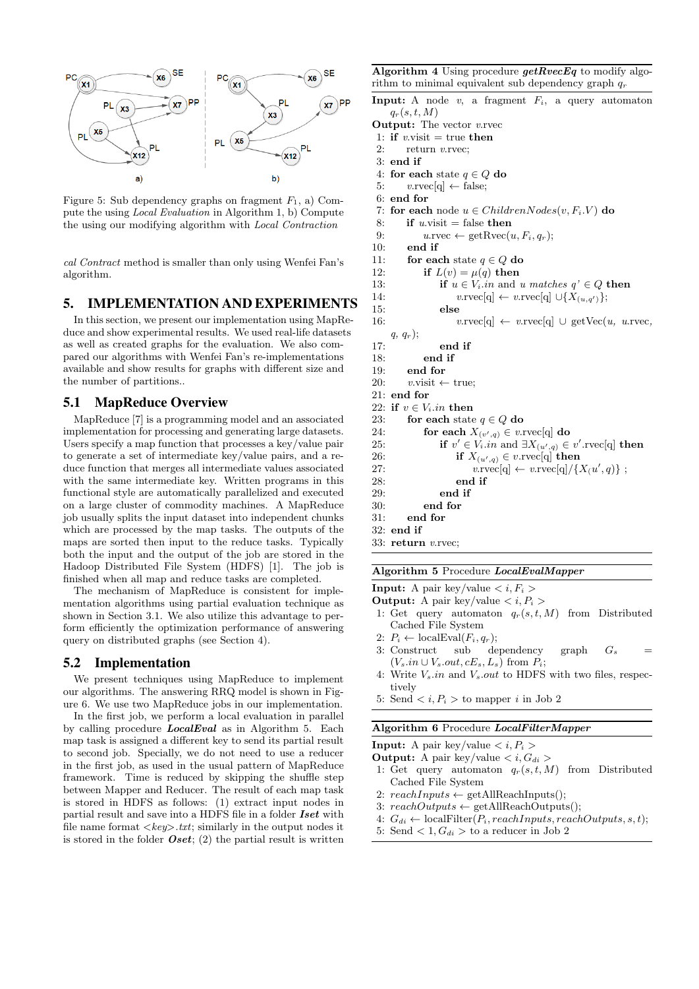

Figure 5: Sub dependency graphs on fragment  $F_1$ , a) Compute the using Local Evaluation in Algorithm 1, b) Compute the using our modifying algorithm with Local Contraction

cal Contract method is smaller than only using Wenfei Fan's algorithm.

## 5. IMPLEMENTATION AND EXPERIMENTS

In this section, we present our implementation using MapReduce and show experimental results. We used real-life datasets as well as created graphs for the evaluation. We also compared our algorithms with Wenfei Fan's re-implementations available and show results for graphs with different size and the number of partitions..

#### 5.1 MapReduce Overview

MapReduce [7] is a programming model and an associated implementation for processing and generating large datasets. Users specify a map function that processes a key/value pair to generate a set of intermediate key/value pairs, and a reduce function that merges all intermediate values associated with the same intermediate key. Written programs in this functional style are automatically parallelized and executed on a large cluster of commodity machines. A MapReduce job usually splits the input dataset into independent chunks which are processed by the map tasks. The outputs of the maps are sorted then input to the reduce tasks. Typically both the input and the output of the job are stored in the Hadoop Distributed File System (HDFS) [1]. The job is finished when all map and reduce tasks are completed.

The mechanism of MapReduce is consistent for implementation algorithms using partial evaluation technique as shown in Section 3.1. We also utilize this advantage to perform efficiently the optimization performance of answering query on distributed graphs (see Section 4).

#### 5.2 Implementation

We present techniques using MapReduce to implement our algorithms. The answering RRQ model is shown in Figure 6. We use two MapReduce jobs in our implementation.

In the first job, we perform a local evaluation in parallel by calling procedure LocalEval as in Algorithm 5. Each map task is assigned a different key to send its partial result to second job. Specially, we do not need to use a reducer in the first job, as used in the usual pattern of MapReduce framework. Time is reduced by skipping the shuffle step between Mapper and Reducer. The result of each map task is stored in HDFS as follows: (1) extract input nodes in partial result and save into a HDFS file in a folder Iset with file name format  $\langle key \rangle$ .txt; similarly in the output nodes it is stored in the folder  $Oset$ ; (2) the partial result is written

Algorithm 4 Using procedure  $getRvecEq$  to modify algorithm to minimal equivalent sub dependency graph  $q_r$ **Input:** A node  $v$ , a fragment  $F_i$ , a query automaton  $q_r(s,t,M)$ Output: The vector v.rvec 1: if v.visit  $=$  true then 2: return v.rvec; 3: end if 4: for each state  $q \in Q$  do 5:  $v.\text{rvec}[q] \leftarrow \text{false};$ 6: end for 7: for each node  $u \in ChildrenNodes(v, F_i.V)$  do 8: if  $u.\text{visit} = \text{false}$  then 9:  $u.\text{rvec} \leftarrow \text{getRvec}(u, F_i, q_r);$ 10: end if 11: for each state  $q \in Q$  do 12: if  $L(v) = \mu(q)$  then 13: **if**  $u \in V_i$ *in* and u matches  $q' \in Q$  then 14:  $v.\text{rvec}[q] \leftarrow v.\text{rvec}[q] \cup \{X_{(u,q')}\};$ 15: else 16:  $v.\text{rvec}[q] \leftarrow v.\text{rvec}[q] \cup \text{getVec}(u, u.\text{rvec})$  $q, q_r);$ 17: end if 18: end if 19: end for 20:  $v.\text{visit} \leftarrow \text{true}$ 21: end for 22: if  $v \in V_i$  in then 23: for each state  $q \in Q$  do 24: for each  $X_{(v',q)} \in v$ .rvec[q] do 25: if  $v' \in V_i.in$  and  $\exists X_{(u',q)} \in v'.\text{rvec[q]}$  then 26: if  $X_{(u',q)} \in v$ .rvec[q] then 27:  $v.\text{rvec}[q] \leftarrow v.\text{rvec}[q]/\{X(u', q)\}\;;$ 28: end if 29: end if 30: end for 31: end for 32: end if

33: return v.rvec;

#### Algorithm 5 Procedure LocalEvalMapper

**Input:** A pair key/value  $$ 

**Output:** A pair key/value  $\langle i, P_i \rangle$ 

- 1: Get query automaton  $q_r(s, t, M)$  from Distributed Cached File System
- 
- 2:  $P_i \leftarrow \text{localEval}(F_i, q_r);$ <br>3: Construct sub dependency 3: Construct sub dependency graph  $G_s$  =  $(V_s.in \cup V_s.out, cE_s, L_s)$  from  $P_i$ ;
- 4: Write  $V_s.in$  and  $V_s.out$  to HDFS with two files, respectively
- 5: Send  $i$  > to mapper *i* in Job 2

#### Algorithm 6 Procedure LocalFilterMapper

**Input:** A pair key/value  $\langle i, P_i \rangle$ 

**Output:** A pair key/value  $\langle i, G_{di} \rangle$ 

- 1: Get query automaton  $q_r(s, t, M)$  from Distributed Cached File System
- 2:  $reachInputs \leftarrow getAllReachInputs$ );
- 3:  $reachOutputs \leftarrow getAllReachOutputs();$
- 4:  $G_{di} \leftarrow localFilter(P_i, reachInputStream, reachOutputStream, s, t);$
- 5: Send  $< 1, G_{di} >$  to a reducer in Job 2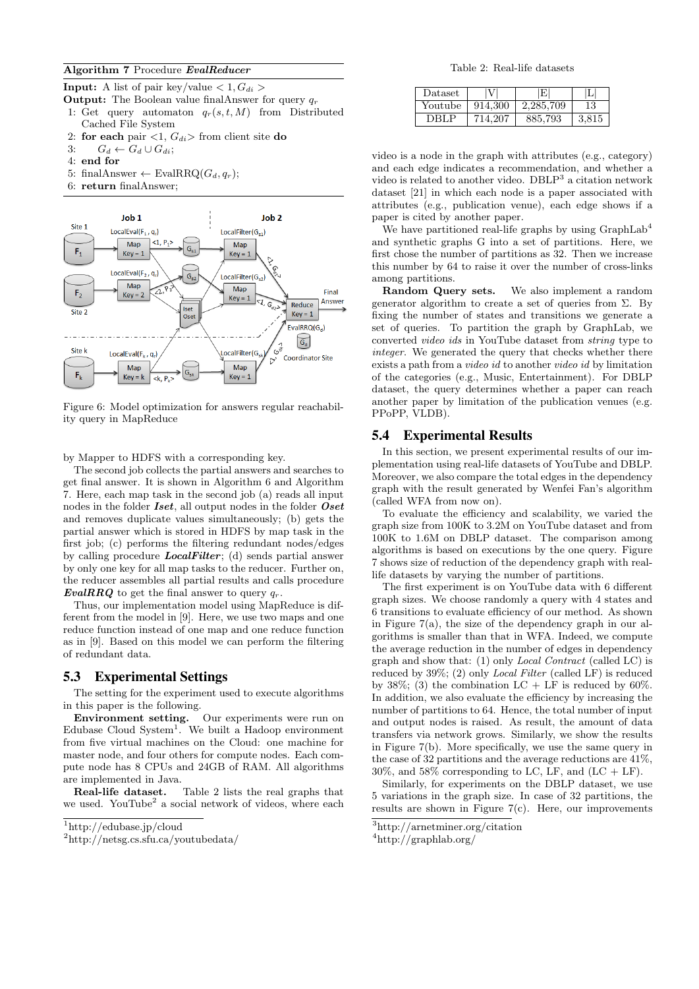#### Algorithm 7 Procedure EvalReducer

**Input:** A list of pair key/value  $\langle 1, G_{di} \rangle$ 

**Output:** The Boolean value final Answer for query  $q_r$ 1: Get query automaton  $q_r(s, t, M)$  from Distributed Cached File System

- 2: for each pair <1,  $G_{di}$  > from client site do<br>3:  $G_d \leftarrow G_d \cup G_{di}$ ;
- $G_d \leftarrow G_d \cup G_{di};$
- 4: end for
- 5: finalAnswer  $\leftarrow$  EvalRRQ( $G_d, q_r$ );
- 6: return finalAnswer;



Figure 6: Model optimization for answers regular reachability query in MapReduce

by Mapper to HDFS with a corresponding key.

The second job collects the partial answers and searches to get final answer. It is shown in Algorithm 6 and Algorithm 7. Here, each map task in the second job (a) reads all input nodes in the folder Iset, all output nodes in the folder Oset and removes duplicate values simultaneously; (b) gets the partial answer which is stored in HDFS by map task in the first job; (c) performs the filtering redundant nodes/edges by calling procedure LocalFilter; (d) sends partial answer by only one key for all map tasks to the reducer. Further on, the reducer assembles all partial results and calls procedure **EvalRRQ** to get the final answer to query  $q_r$ .

Thus, our implementation model using MapReduce is different from the model in [9]. Here, we use two maps and one reduce function instead of one map and one reduce function as in [9]. Based on this model we can perform the filtering of redundant data.

#### 5.3 Experimental Settings

The setting for the experiment used to execute algorithms in this paper is the following.

Environment setting. Our experiments were run on Edubase Cloud  $System<sup>1</sup>$ . We built a Hadoop environment from five virtual machines on the Cloud: one machine for master node, and four others for compute nodes. Each compute node has 8 CPUs and 24GB of RAM. All algorithms are implemented in Java.

Real-life dataset. Table 2 lists the real graphs that we used. YouTube<sup>2</sup> a social network of videos, where each

Table 2: Real-life datasets

| Dataset |         |           |       |
|---------|---------|-----------|-------|
| Youtube | 914.300 | 2,285.709 | 13    |
| DRLP    | - 207   | 885.793   | 3 815 |

video is a node in the graph with attributes (e.g., category) and each edge indicates a recommendation, and whether a video is related to another video. DBLP<sup>3</sup> a citation network dataset [21] in which each node is a paper associated with attributes (e.g., publication venue), each edge shows if a paper is cited by another paper.

We have partitioned real-life graphs by using GraphLab<sup>4</sup> and synthetic graphs G into a set of partitions. Here, we first chose the number of partitions as 32. Then we increase this number by 64 to raise it over the number of cross-links

among partitions.<br>Random Query sets. We also implement a random generator algorithm to create a set of queries from Σ. By fixing the number of states and transitions we generate a set of queries. To partition the graph by GraphLab, we converted video ids in YouTube dataset from string type to integer. We generated the query that checks whether there exists a path from a video id to another video id by limitation of the categories (e.g., Music, Entertainment). For DBLP dataset, the query determines whether a paper can reach another paper by limitation of the publication venues (e.g. PPoPP, VLDB).

#### 5.4 Experimental Results

In this section, we present experimental results of our implementation using real-life datasets of YouTube and DBLP. Moreover, we also compare the total edges in the dependency graph with the result generated by Wenfei Fan's algorithm (called WFA from now on).

To evaluate the efficiency and scalability, we varied the graph size from 100K to 3.2M on YouTube dataset and from 100K to 1.6M on DBLP dataset. The comparison among algorithms is based on executions by the one query. Figure 7 shows size of reduction of the dependency graph with reallife datasets by varying the number of partitions.

The first experiment is on YouTube data with 6 different graph sizes. We choose randomly a query with 4 states and 6 transitions to evaluate efficiency of our method. As shown in Figure  $7(a)$ , the size of the dependency graph in our algorithms is smaller than that in WFA. Indeed, we compute the average reduction in the number of edges in dependency graph and show that: (1) only Local Contract (called LC) is reduced by 39%; (2) only Local Filter (called LF) is reduced by 38%; (3) the combination  $LC + LF$  is reduced by 60%. In addition, we also evaluate the efficiency by increasing the number of partitions to 64. Hence, the total number of input and output nodes is raised. As result, the amount of data transfers via network grows. Similarly, we show the results in Figure 7(b). More specifically, we use the same query in the case of 32 partitions and the average reductions are 41%,  $30\%$ , and  $58\%$  corresponding to LC, LF, and (LC + LF).

Similarly, for experiments on the DBLP dataset, we use 5 variations in the graph size. In case of 32 partitions, the results are shown in Figure  $7(c)$ . Here, our improvements

<sup>1</sup>http://edubase.jp/cloud

<sup>2</sup>http://netsg.cs.sfu.ca/youtubedata/

<sup>3</sup>http://arnetminer.org/citation

<sup>4</sup>http://graphlab.org/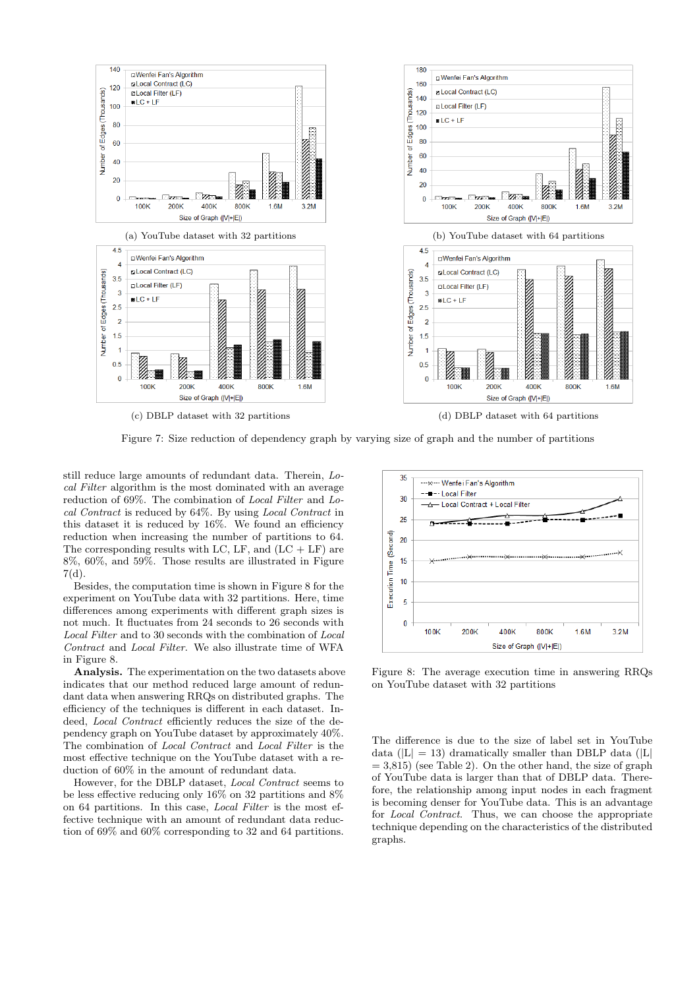

Figure 7: Size reduction of dependency graph by varying size of graph and the number of partitions

still reduce large amounts of redundant data. Therein, Local Filter algorithm is the most dominated with an average reduction of 69%. The combination of Local Filter and Local Contract is reduced by 64%. By using Local Contract in this dataset it is reduced by 16%. We found an efficiency reduction when increasing the number of partitions to 64. The corresponding results with LC, LF, and  $(LC + LF)$  are 8%, 60%, and 59%. Those results are illustrated in Figure 7(d).

Besides, the computation time is shown in Figure 8 for the experiment on YouTube data with 32 partitions. Here, time differences among experiments with different graph sizes is not much. It fluctuates from 24 seconds to 26 seconds with Local Filter and to 30 seconds with the combination of Local Contract and Local Filter. We also illustrate time of WFA in Figure 8.

Analysis. The experimentation on the two datasets above indicates that our method reduced large amount of redundant data when answering RRQs on distributed graphs. The efficiency of the techniques is different in each dataset. Indeed, Local Contract efficiently reduces the size of the dependency graph on YouTube dataset by approximately 40%. The combination of Local Contract and Local Filter is the most effective technique on the YouTube dataset with a reduction of 60% in the amount of redundant data.

However, for the DBLP dataset, Local Contract seems to be less effective reducing only 16% on 32 partitions and 8% on 64 partitions. In this case, Local Filter is the most effective technique with an amount of redundant data reduction of 69% and 60% corresponding to 32 and 64 partitions.



Figure 8: The average execution time in answering RRQs on YouTube dataset with 32 partitions

The difference is due to the size of label set in YouTube data ( $|L| = 13$ ) dramatically smaller than DBLP data ( $|L|$ )  $= 3,815$ ) (see Table 2). On the other hand, the size of graph of YouTube data is larger than that of DBLP data. Therefore, the relationship among input nodes in each fragment is becoming denser for YouTube data. This is an advantage for Local Contract. Thus, we can choose the appropriate technique depending on the characteristics of the distributed graphs.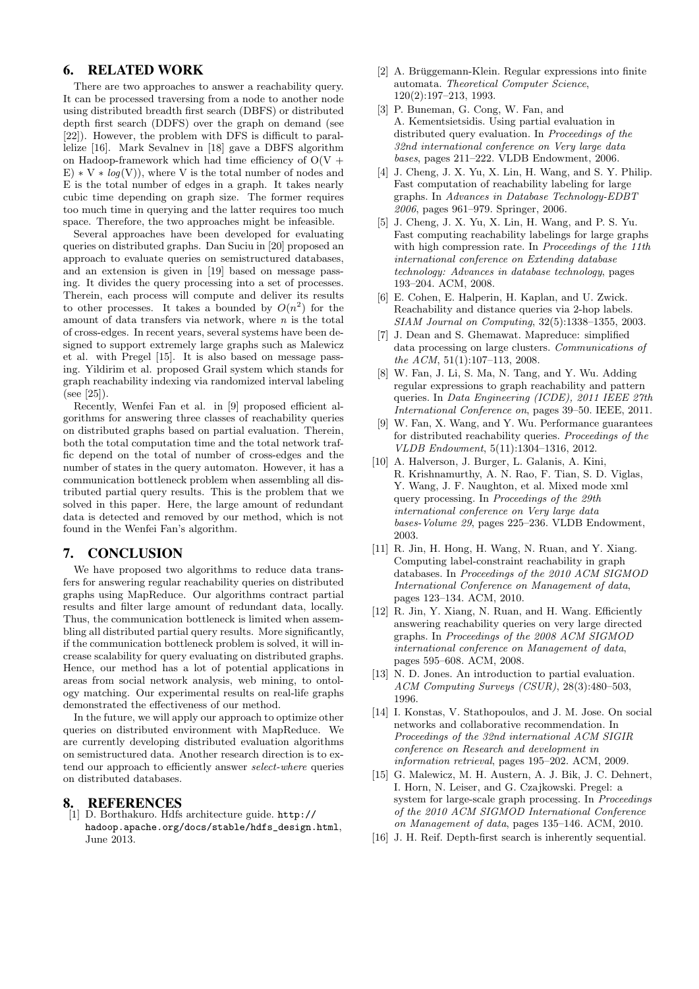# 6. RELATED WORK

There are two approaches to answer a reachability query. It can be processed traversing from a node to another node using distributed breadth first search (DBFS) or distributed depth first search (DDFS) over the graph on demand (see [22]). However, the problem with DFS is difficult to parallelize [16]. Mark Sevalnev in [18] gave a DBFS algorithm on Hadoop-framework which had time efficiency of  $O(V +$ E)  $* V * log(V)$ , where V is the total number of nodes and E is the total number of edges in a graph. It takes nearly cubic time depending on graph size. The former requires too much time in querying and the latter requires too much space. Therefore, the two approaches might be infeasible.

Several approaches have been developed for evaluating queries on distributed graphs. Dan Suciu in [20] proposed an approach to evaluate queries on semistructured databases, and an extension is given in [19] based on message passing. It divides the query processing into a set of processes. Therein, each process will compute and deliver its results to other processes. It takes a bounded by  $O(n^2)$  for the amount of data transfers via network, where  $n$  is the total of cross-edges. In recent years, several systems have been designed to support extremely large graphs such as Malewicz et al. with Pregel [15]. It is also based on message passing. Yildirim et al. proposed Grail system which stands for graph reachability indexing via randomized interval labeling (see [25]).

Recently, Wenfei Fan et al. in [9] proposed efficient algorithms for answering three classes of reachability queries on distributed graphs based on partial evaluation. Therein, both the total computation time and the total network traffic depend on the total of number of cross-edges and the number of states in the query automaton. However, it has a communication bottleneck problem when assembling all distributed partial query results. This is the problem that we solved in this paper. Here, the large amount of redundant data is detected and removed by our method, which is not found in the Wenfei Fan's algorithm.

## 7. CONCLUSION

We have proposed two algorithms to reduce data transfers for answering regular reachability queries on distributed graphs using MapReduce. Our algorithms contract partial results and filter large amount of redundant data, locally. Thus, the communication bottleneck is limited when assembling all distributed partial query results. More significantly, if the communication bottleneck problem is solved, it will increase scalability for query evaluating on distributed graphs. Hence, our method has a lot of potential applications in areas from social network analysis, web mining, to ontology matching. Our experimental results on real-life graphs demonstrated the effectiveness of our method.

In the future, we will apply our approach to optimize other queries on distributed environment with MapReduce. We are currently developing distributed evaluation algorithms on semistructured data. Another research direction is to extend our approach to efficiently answer select-where queries on distributed databases.

# 8. REFERENCES

[1] D. Borthakuro. Hdfs architecture guide. http:// hadoop.apache.org/docs/stable/hdfs\_design.html, June 2013.

- [2] A. Brüggemann-Klein. Regular expressions into finite automata. Theoretical Computer Science, 120(2):197–213, 1993.
- [3] P. Buneman, G. Cong, W. Fan, and A. Kementsietsidis. Using partial evaluation in distributed query evaluation. In Proceedings of the 32nd international conference on Very large data bases, pages 211–222. VLDB Endowment, 2006.
- [4] J. Cheng, J. X. Yu, X. Lin, H. Wang, and S. Y. Philip. Fast computation of reachability labeling for large graphs. In Advances in Database Technology-EDBT 2006, pages 961–979. Springer, 2006.
- [5] J. Cheng, J. X. Yu, X. Lin, H. Wang, and P. S. Yu. Fast computing reachability labelings for large graphs with high compression rate. In Proceedings of the 11th international conference on Extending database technology: Advances in database technology, pages 193–204. ACM, 2008.
- [6] E. Cohen, E. Halperin, H. Kaplan, and U. Zwick. Reachability and distance queries via 2-hop labels. SIAM Journal on Computing, 32(5):1338–1355, 2003.
- [7] J. Dean and S. Ghemawat. Mapreduce: simplified data processing on large clusters. Communications of the ACM, 51(1):107–113, 2008.
- [8] W. Fan, J. Li, S. Ma, N. Tang, and Y. Wu. Adding regular expressions to graph reachability and pattern queries. In Data Engineering (ICDE), 2011 IEEE 27th International Conference on, pages 39–50. IEEE, 2011.
- [9] W. Fan, X. Wang, and Y. Wu. Performance guarantees for distributed reachability queries. Proceedings of the VLDB Endowment, 5(11):1304–1316, 2012.
- [10] A. Halverson, J. Burger, L. Galanis, A. Kini, R. Krishnamurthy, A. N. Rao, F. Tian, S. D. Viglas, Y. Wang, J. F. Naughton, et al. Mixed mode xml query processing. In Proceedings of the 29th international conference on Very large data bases-Volume 29, pages 225–236. VLDB Endowment, 2003.
- [11] R. Jin, H. Hong, H. Wang, N. Ruan, and Y. Xiang. Computing label-constraint reachability in graph databases. In Proceedings of the 2010 ACM SIGMOD International Conference on Management of data, pages 123–134. ACM, 2010.
- [12] R. Jin, Y. Xiang, N. Ruan, and H. Wang. Efficiently answering reachability queries on very large directed graphs. In Proceedings of the 2008 ACM SIGMOD international conference on Management of data, pages 595–608. ACM, 2008.
- [13] N. D. Jones. An introduction to partial evaluation. ACM Computing Surveys (CSUR), 28(3):480–503, 1996.
- [14] I. Konstas, V. Stathopoulos, and J. M. Jose. On social networks and collaborative recommendation. In Proceedings of the 32nd international ACM SIGIR conference on Research and development in information retrieval, pages 195–202. ACM, 2009.
- [15] G. Malewicz, M. H. Austern, A. J. Bik, J. C. Dehnert, I. Horn, N. Leiser, and G. Czajkowski. Pregel: a system for large-scale graph processing. In Proceedings of the 2010 ACM SIGMOD International Conference on Management of data, pages 135–146. ACM, 2010.
- [16] J. H. Reif. Depth-first search is inherently sequential.